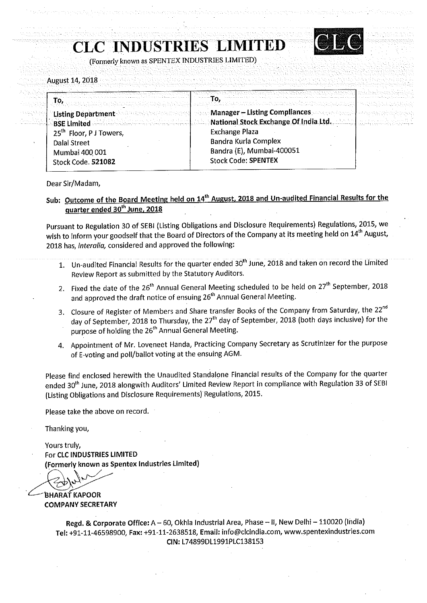CLC INDUSTRIES LIMITED



(Formerly known as SPENTEX' INDUSTRIES LIMITED)

August 14, 2018

|                                     | <del>gintan untuk kutha katika katika k</del> ang katung menggarakan satu mengang mang katika (katang mengang katang katan<br>Timbung mengangkan katika di katika katika katika di katang mengang katika katika katika katika katika katik          |          |
|-------------------------------------|-----------------------------------------------------------------------------------------------------------------------------------------------------------------------------------------------------------------------------------------------------|----------|
| To.                                 | a na sala sa sa san ta ta sa tambin san a posainn <b>To</b> p sa ta tha a sa santan sa staireann ta sa shein tinn nism<br>Intin philip Cilibridik Ciperni in Singha <mark>sa phraibhinn a b</mark> a bha tan ta na ba ta na ba sa bhinn a na nan na | 1994.KHX |
|                                     | "Listing Department Additional proposes and department and Manager - Listing Compliances and response to a consequence                                                                                                                              |          |
|                                     | RISE Limited <b>State of Limited Action</b> 2018 (National Stock Exchange Of India Ltd. 2020) and the                                                                                                                                               |          |
| 25 <sup>th</sup> Floor, P J Towers, | <b>Exchange Plaza</b>                                                                                                                                                                                                                               |          |
| <b>Dalal Street</b>                 | Bandra Kurla Complex                                                                                                                                                                                                                                |          |
| Mumbai 400 001                      | Bandra (E), Mumbai-400051                                                                                                                                                                                                                           |          |
| Stock Code. 521082                  | <b>Stock Code: SPENTEX</b>                                                                                                                                                                                                                          |          |
|                                     |                                                                                                                                                                                                                                                     |          |

Dear Sir/Madam,

Sub: Outcome of the Board Meeting held on 14<sup>th</sup> August, 2018 and Un-audited Financial Results for the guarter ended 30<sup>th</sup> June, 2018

Pursuant to Regulation <sup>30</sup> of SEBI (Listing Obligations and Disclosure Requirements) Regulations, 2015, we wish to inform your goodself that the Board of Directors of the Company at its meeting held on 14<sup>th</sup> August, 2018 has, interalia, considered and approved the following:

- 1. Un-audited Financial Results for the quarter ended 30"' June, <sup>2018</sup> and taken on record the Limited Review Report as submitted by the Statutory Auditors.
- 2. Fixed the date of the 26<sup>th</sup> Annual General Meeting scheduled to be held on 27<sup>th</sup> September, 2018 and approved the draft notice of ensuing 26<sup>th</sup> Annual General Meeting.
- 3. Closure of Register of Members and Share transfer Books of the Company from Saturday, the 22<sup>nd</sup> day of September, <sup>2018</sup> to Thursday, the 27'" day of September, <sup>2018</sup> (both days inclusive) for the purpose of holding the 26<sup>th</sup> Annual General Meeting.
- 4. Appointment of Mr. Loveneet Handa, Practicing Company Secretary as Scrutinizer for the purpose of E-voting and poll/ballot voting at the ensuing AGM.

Please find enclosed herewith the Unaudited Standalone Financial results of the Company for the quarter ended 30<sup>th</sup> June, 2018 alongwith Auditors' Limited Review Report in compliance with Regulation 33 of SEBI (Listing Obligations and Disclosure Requirements) Regulations, 2015.

Please take the above on record.

Thanking you,

Yours truly, For CLC INDUSTRIES LIMITED (Formerly known as Spentex Industries Limited)

'BHARAT KAPOOR COMPANY SECRETARY

> Regd. & Corporate Office: A— 60, Okhla Industrial Area, Phase — II, New Delhi — 110020 (India) Tel: +91—11-46598900, Fax: +91<11~2638518, Email: info@clcindia.com, www.spentexindustries.com CIN: L748990L1991PLC138153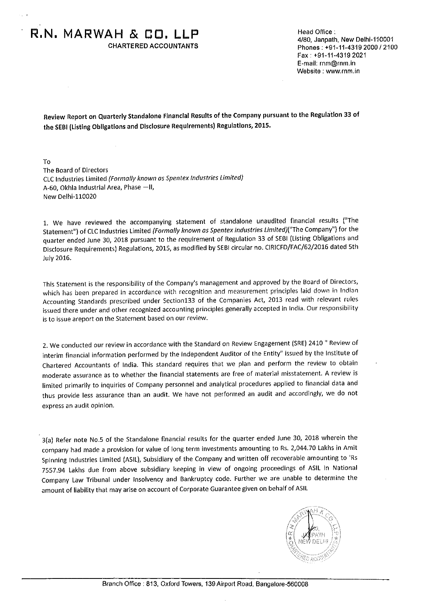$R.N. MARMAH & B. LLP$ <br>CHARTERED ACCOUNTANTS Phones: +91-11-4319 2000 / 210

I

Phones: +91-11-4319 2000 / 2100 Fax: +91-11-4319 2021 E-mail: rnm@rnm.in Website : www.mm.in

Review Report on Quarterly Standalone Financial Results of the Company pursuant to the Regulation <sup>33</sup> of the SEBi (Listing Obligations and Disclosure Requirements) Regulations, 2015.

To The Board of Directors CLC Industries Limited (Formally known as Spentex Industries Limited) A-60, Okhla Industrial Area, Phase -II, New Delhi-110020

1. We have reviewed the accompanying statement of standalone unaudited financial results ("The Statement") of CLC industries Limited (Formally known as Spentex Industries Limited)("The Company") for the quarter ended June 30, <sup>2018</sup> pursuant to the requirement of Regulation <sup>33</sup> of SEBi (Listing Obligations and Disclosure Requirements) Regulations, 2015, as modified by SEBi circular no. ClRiCFD/FAC/62/2016 dated 5th July 2016.

This Statement is the responsibility of the Company's management and approved by the Board of Directors, which has been prepared in accordance with recognition and measurement principles laid down in lndian Accounting Standards prescribed under Section133 of the Companies Act, <sup>2013</sup> read with relevant rules issued there under and other recognized accounting principles generally accepted in india. Our responsibility is to issue areport on the Statement based on our review.

2. We conducted our review in accordance with the Standard on Review Engagement (SRE) <sup>2410</sup> " Review of interim financial information performed by the independent Auditor of the Entity" issued by the institute of Chartered Accountants of india. This standard requires that we plan and perform the review to obtain moderate assurance as to whether the financial statements are free of material misstatement. <sup>A</sup> review is limited primarily to inquiries of Company personnel and analytical procedures applied to financial data and thus provide less assurance than an audit. We have not performed an audit and accordingly, we do not express an audit opinion.

3(a) Refer note No.5 of the Standalone financial results for the quarter ended June 30, <sup>2018</sup> wherein the company had made <sup>a</sup> provision for value of long term investments amounting to Rs. 2,044.70 Lakhs in Amit Spinning industries Limited (ASIL), Subsidiary of the Company and written off recoverable amounting to 'Rs 7557.94 Lakhs due from above subsidiary keeping in view of ongoing proceedings of ASIL in National Company Law Tribunal under insolvency and Bankruptcy code. Further we are unable to determine the amount of liability that may arise on account of Corporate Guarantee given on behalf of ASIL

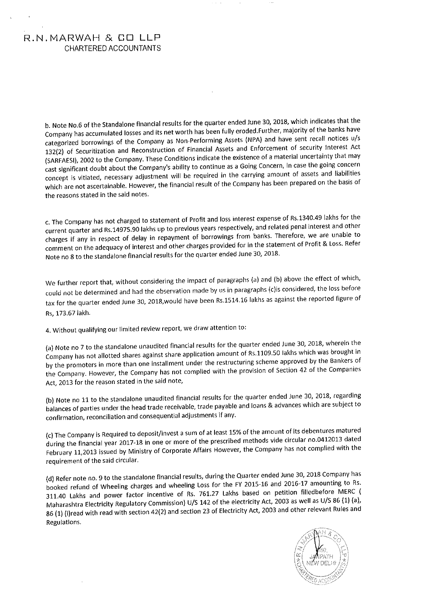## R.N.MARWAH & GD LLF' CHARTERED ACCOUNTANTS

b. Note No.6 of the Standalone financial results for the quarter ended June 30, 2018, which indicates that the Company has accumulated losses and its net worth has been fully eroded.Further, majority of the banks have categorized borrowings of the Company as Non—Performing Assets (NPA) and have sent recall notices u/s 132(2) of Securitization and Reconstruction of Financial Assets and Enforcement of security interest Act (SARFAESI), <sup>2002</sup> to the Company. These Conditions indicate the existence of <sup>a</sup> material uncertainty that may cast significant doubt about the Company's ability to continue as a Going Concern, In case the going concern concept is vitiated, necessary adjustment will be required in the carrying amount of assets and liabilities which are not ascertainable. However, the financial result of the Company has been prepared on the basis of the reasons stated in the said notes.

c. The Company has not charged to statement of Profit and loss interest expense of Rs.1340.49 lakhs for the current quarter and Rs.14975.90 lakhs up to previous years respectively, and related penal interest and other charges if any in respect of delay in repayment of borrowings from banks. Therefore, we are unable to comment on the adequacy of interest and other charges provided for in the statement of Profit & Loss. Refer Note no <sup>8</sup> to the standalone financial results for the quarter ended June 30, 2018.

We further report that, without considering the impact of paragraphs (a) and (b) above the effect of which, couid not be determined and had the observation made by us in paragraphs (c)is considered, the loss before tax for the quarter ended June 30, 2018,would have been Rs.1514.16 lakhs as against the reported figure of Rs, 173.67 lakh.

4. Without qualifying our limited review report, we draw attention to:

(a) Note no <sup>7</sup> to the standalone unaudited financial results for the quarter ended June 30, 2018, wherein the Company has not allotted shares against share application amount of Rs.1109.50 lakhs which was brought in by the promoters in more than one installment under the restructuring scheme approved by the Bankers of the Company. However, the Company has not complied with the provision of Section <sup>42</sup> of the Companies Act, <sup>2013</sup> for the reason stated in the said note,

(b) Note no <sup>11</sup> to the standalone unaudited financial results for the quarter ended June 30, 2018, regarding balances of parties under the head trade receivable, trade payable and loans & advances which are subject to confirmation, reconciliation and consequential adjustments if any.

(c) The Company is Required to deposit/invest <sup>a</sup> sum of at least 15% of the amount of its debentures matured during the financial year 2017—18 in one or more of the prescribed methods vide circular no.0412013 dated February 11,2013 issued by Ministry of Corporate Affairs However, the Company has not complied with the requirement of the said circular.

(d) Refer note no. <sup>9</sup> to the standalone financial results, during the Quarter ended June 30, <sup>2018</sup> Company has booked refund of Wheeling charges and wheeling Loss for the FY 2015-16 and 2016-17 amounting to Rs. 311.40 Lakhs and power factor incentive of Rs. 761.27 Lakhs based on petition filledbefore MERC ( Maharashtra Electricity Regulatory Commission) U/S <sup>142</sup> of the electricity Act, <sup>2003</sup> as well as U/S <sup>86</sup> (1) (a), 86(1) (i)read with read with section 42(2) and section <sup>23</sup> of Electricity Act, <sup>2003</sup> and other relevant Rules and Regulations.

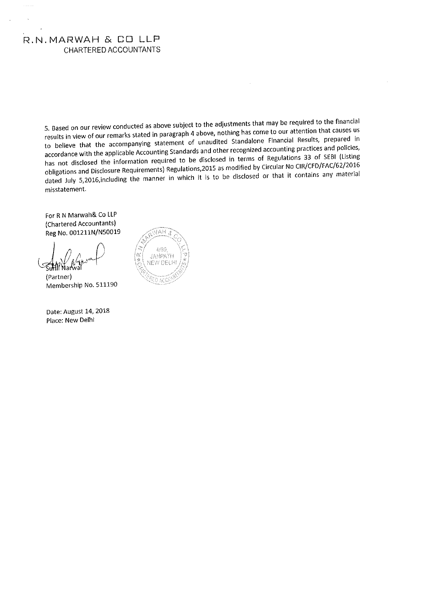## R.N.MARWAH & CO LLP CHARTEREDACCOUNTANTS

5. Based on our review conducted as above subject to the adjustments that may be required to the financial results in view of our remarks stated in paragraph <sup>4</sup> above, nothing has come to our attention that causes us to believe that the accompanying statement of unaudited Standalone Financial Results, prepared in accordance with the applicable Accounting Standards and other recognized accounting practices and policies, has not disclosed the information required to be disclosed in terms of Regulations <sup>33</sup> of SEBI (Listing obligations and Disclosure Requirements) Regulations,2015 as modified by Circular No CIR/CFD/FAC/62/2016 dated July S,2016,including the manner in which it is to be disclosed or that it contains any material misstatement.

For <sup>R</sup> <sup>N</sup> Marwah& Co LLP (Chartered Accountants) Reg No. 001211N/N50019

 $\sum_{k=1}^{n} \binom{n}{k}$ 

(Partner) Membership No. 511190

Date: August 14, 2018 Place: New Delhi

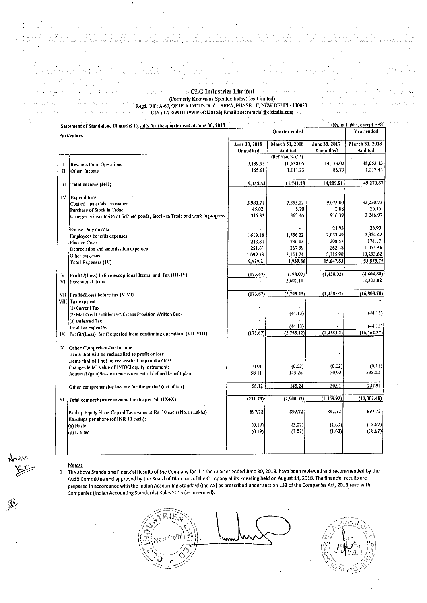**CLC Industries Limited**<br>(Formerly Known as Spentex Industries Limited) (Formerly Known as Spentex Industries Limited) Regd. Off : A-60, OKHLA INDUSTRIAL AREA, PHASE - II, NEW DELHI - 110020. CIN : L74899DLI991PLC138153; Email : secretarial@elcindia.com and conservative

|                    | Statement of Standalone Financial Results for the quarter ended June 30, 2018  |                            |                           |                            | (Rs. in Lakns, ехсері ЕРЭ) |  |
|--------------------|--------------------------------------------------------------------------------|----------------------------|---------------------------|----------------------------|----------------------------|--|
| <b>Particulars</b> |                                                                                | Quarter ended              |                           |                            | Year ended                 |  |
|                    |                                                                                | June 30, 2018<br>Unaudited | March 31, 2018<br>Audited | June 30, 2017<br>Unaudited | March 31, 2018<br>Audited  |  |
|                    |                                                                                |                            | (Ref.Note No.15)          |                            |                            |  |
| I                  | Revenue From Operations                                                        | 9,189.93                   | 10,630.05                 | 14,123.02                  | 48,053.43                  |  |
| П                  | Other Income                                                                   | 165.61                     | 1,111.23                  | 86.79                      | 1,217.44                   |  |
| Ш                  | Total Income (1+11)                                                            | 9,355.54                   | 11,741.28                 | 14,209.81                  | 49,270,87                  |  |
| IV                 | Expenditure:                                                                   |                            |                           |                            |                            |  |
|                    | Cost of materials consumed                                                     | 5,983.71                   | 7.355.22                  | 9.073.00                   | 32,030.73                  |  |
|                    | Purchase of Stock in Trdae                                                     | 45.02                      | 8.70                      | 2.08                       | 26.45                      |  |
|                    | Changes in inventories of finished goods, Stock- in Trade and work in progress | 316.32                     | 363.46                    | 916.39                     | 2,246.97                   |  |
|                    | Excise Duty on sale                                                            |                            |                           | 23.93                      | 23.93                      |  |
|                    | Employees benefits expenses                                                    | 1,619.18                   | 1,556.22                  | 2.053,49                   | 7,324.42                   |  |
|                    | <b>Finance Costs</b>                                                           | 213.84                     | 236.03                    | 200.57                     | 874.17                     |  |
|                    | Depreciation and amortisation expenses                                         | 251.61                     | 267.99                    | 262.48                     | 1.055.46                   |  |
|                    | Other expesnes                                                                 | 1,099.53                   | 2,151.74                  | 3,115,90                   | 10,293.62                  |  |
|                    | <b>Total Expenses (IV)</b>                                                     | 9,529.21                   | 11,939,36                 | 15,647.83                  | 53,875.75                  |  |
|                    |                                                                                |                            |                           | (1,438.02)                 | (4,604.88)                 |  |
| v<br>VI            | Profit /(Loss) before exceptional Items and Tax (III-IV)<br>Exceptional Items  | (173.67)                   | (198.07)<br>2,601.18      |                            | 12,203.82                  |  |
|                    |                                                                                |                            |                           |                            |                            |  |
|                    | VII Profit/(Loss) before tax (V-VI)                                            | (173.67)                   | (2,799.25)                | (1, 138, 02)               | (16, 808, 70)              |  |
|                    | VIII Tax expense                                                               |                            |                           |                            |                            |  |
|                    | (1) Current Tax                                                                |                            |                           |                            | (44.13)                    |  |
|                    | (2) Mat Credit Entitlement Excess Provision Written Back                       |                            | (44.13)                   | $\overline{a}$             |                            |  |
|                    | (3) Deferred Tax                                                               |                            | (44.13)                   |                            | (44.13)                    |  |
|                    | <b>Total Tax Expenses</b>                                                      |                            | (2,755.12)                | (1, 438.02)                | (16, 764.57)               |  |
| IX                 | Profit/(Loss) for the period from continuing operation (VII-VIII)              | (173.67)                   |                           |                            |                            |  |
| X                  | Other Comprehensive Income                                                     |                            |                           |                            |                            |  |
|                    | Items that will be reclassified to profit or loss                              |                            |                           |                            |                            |  |
|                    | Items that will not be reclassified to profit or loss                          |                            |                           |                            |                            |  |
|                    | Changes In fair value of FVTOCI equity instruments                             | 0.01                       | (0.02)                    | (0.02)                     | (0.11)                     |  |
|                    | Actuarial (gain)/loss on remeasurement of defined benefit plan                 | 58.11                      | 145.26                    | 30.92                      | 238.02                     |  |
|                    | Other comprehensive income for the period (net of tax)                         | 58.12                      | 145.24                    | 30.91                      | 237.91                     |  |
| XI                 | Total comprehensive income for the period (IX+X)                               | (231.79)                   | (2,900.37)                | (1, 468.92)                | (17,002.48)                |  |
|                    |                                                                                |                            |                           |                            |                            |  |
|                    | Paid up Equity Share Capital Face value of Rs. 10 each (No. in Lakhs)          | 897.72                     | 897.72                    | 897.72                     | 897.72                     |  |
|                    | Earnings per share (of INR 10 each):                                           |                            |                           |                            | (18.67)                    |  |
|                    | (a) Basic                                                                      | (0.19)                     | (3.07)<br>(3.07)          | (1.60)<br>(1.60)           | (18.67)                    |  |
|                    | (a) Diluted                                                                    | (0.19)                     |                           |                            |                            |  |
|                    |                                                                                |                            |                           |                            |                            |  |
|                    |                                                                                |                            |                           |                            |                            |  |

**Whole** 

the control of the control of

<u>Notes:</u><br>1 The above Standalone Financial Results of the Company for the the quarter ended June 30, 2018. have been reviewed and recommended by the Audit Committee and approved by the Board of Directors of the Company at its meeting held on August 14, 2018. The financial results are prepared In accordance with the Indian Accounting Standard (Ind AS) as prescribed under section <sup>133</sup> of the Companies Act, <sup>2013</sup> read with Companies (lndlan Accounting Standards) Rules 2015 (as amended).

New Delhi

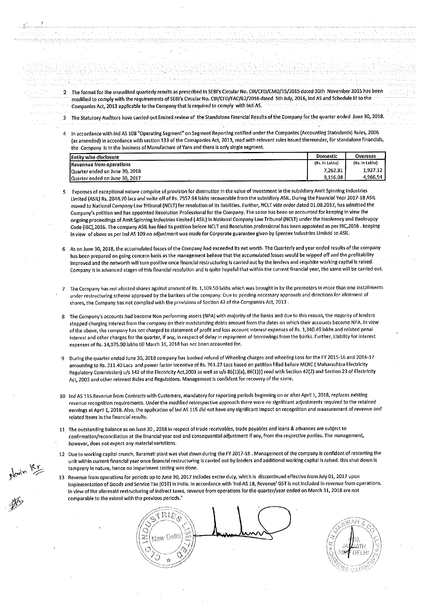- The format forthe unaudited quarterly results as prescribed In SEBI's Circular No.CiR/CFD/CMD/15/2015 dated 30th November <sup>2015</sup> has been modified to comply with the requirements of SEBI's Circular No. CIR/CFD/FAC/62/2016 dated 5th July, 2016, Ind AS and Schedule III to the Companies Act, <sup>2013</sup> applicable to the Company that is required to comply with ind-AS.
- The Statutory Auditors have carried out limited review of the Standalone Financial Results of the Company forthe quarter ended June 30, 2018.
- in accordance with ind AS <sup>108</sup> "Operating Segment" on Segment Reporting notified under the Companies (Accounting Statndards) Rules, <sup>2006</sup> (as amended) In accordance with section <sup>133</sup> of the Comapanies Act, 2013, read with relevant rules Issued thereunder, for standalone financials, the Company is in the business of Manufacture of Yarn and there is only single segment.

| <b>Entity wise disclosure</b>   | Domestic       | Overseas       |
|---------------------------------|----------------|----------------|
| Revennue from operations        | (Rs. In Lakhs) | (Rs. In Lakhs) |
| Quarter ended on June 30, 2018  | 7.262.81       | 1.927.12       |
| IQuarter ended on June 30, 2017 | 9.156.08       | 4.966.94       |

- Expenses of exceptional nature comprise of provision for diminution in the value of investment in the subsidiary Amit Spinning industries Limited (ASIL) Rs. 2044.70 lacs and write off of Rs. 7557.94 lakhs recoverable from the subsidiary ASIL. During the Financial Year 2017-18 ASIL moved to National Company Law Tribunal (NCLT) for resolution of its liabilities. Further, NCLT vide order dated 01.08.2017, has admitted the Company/5 petition and has appointed Resolution Professional for the Company The same has been so accounted for keeping in view the ongoing proceedings of Amit Spinning Industries limited ( ASlL) in National Company Law Tribunal (NCLT) under the insolvency and Bankrupcy Code (iBC),2016. The company ASIL has filed its petition before NCLT and Resolution professional has been appointed as per lEC,2016 . keeping in view of above as per ind AS <sup>109</sup> no adjustment was made for Corporate guarantee given by Spentex industries Limited to ASiL.
- As on June 30, 2018, the accumulated losses ofthe Company had exceeded its net worth. The Quarterly and year ended results of the company has been prepared on going concern basis as the management believe that the accumulated losses would be wipped off and the profitability improved and the networth will turn positive once financial restructuring is carried out by the lenders and requisite working capital is raised. Company is in advanced stages of this financial resolution and is quite hopeful that within the current financial year, the same will be carried out.
- The Company has not allotted shares against amount of Rs. 1,109.50 lakhs which was brought in by the promoters in more than one installments under restructuring scheme approved by the bankers of the company. Due to pending necessary approvals and directions for allotment of shares, the Company has not complied with the provisions of Section <sup>42</sup> of the Companies Act, <sup>2013</sup> .
- The Company's accounts had become Non performing assets (NPA) with majority of the banks and due to this reason, the majority of lenders stopped charging interest from the company on their ouststanding debts amount from the dates on which their accounts become MFA. in view of the above, the company has not charged to statement of profit and loss account interest expenses of Rs. 1,340.49 lakhs and related penal interest and other charges for the quarter, if any, in respect of delay in repayment of borrowings from the banks. Further, Liability for interest expenses of Rs. 14,975.90 lakhs till March 31, <sup>2018</sup> has not been accounted for.
- During the quarter ended June 30, <sup>2018</sup> company has booked refund ofWheeiing charges and wheeling Loss for the FY 2015-16 and 2016-17 9 amounting to Rs. 311.40 Lacs and power factor incentive of Rs. 761.27 Lacs based on petition filled before MERC ( Maharashtra Electricity Regulatory Commission) u/s 142 of the Electricity Act, 2003 as well as u/s 86(1)(a), 86(1)(l) read with Section 42(2) and Section 23 of Electricity Act, <sup>2003</sup> and other relevant Rules and Regulations. Management is confident for recovery of the same.
- 10 ind AS 115 Revenue from Contracts with Customers, mandatory for reporting periods beginning on or after April 1, 2018, replaces existing revenue recognition requirements. Under the modified retrospective approach there were no significant adjustments required to the retained earnings at April 1, 2018. Also, the application of ind AS <sup>115</sup> did not have any significant impact on recognition and measurement of revenue and related items in the financial results.
- 11 The outstanding balance as on June <sup>30</sup> , <sup>2018</sup> in respect of trade receivables, trade payables and loans & advances are subiect to confirmation/reconcillation at the financial year end and consequential adjustment if any, from the respective parties. The management, however, does not expect any material variations.
- 12 Due to working capital crunch, Baramati plant was shutdown during the FY 2017-18 .Management of the company is confident of restarting the unit within current financial year once financial restructuring is carried out by lenders and additional working capital is raised. this shut down is temprory in nature, hence no imparlment testing was done.
- 13 Revenue from operations for periods up to June 30, <sup>2017</sup> includes excise duty, which is discontinued effective from July 01, <sup>2017</sup> upon implementation of Goods and Service Tax (GST) in india. in accordance with 'ind-AS 18, Revenue' GST is not included in revenue from operations. in view of the aforesaid restructuring of indirect taxes, revenue from operations for the quarter/year ended on March 31, <sup>2018</sup> are not comparable to the extent with the previous periods."

New Dethi